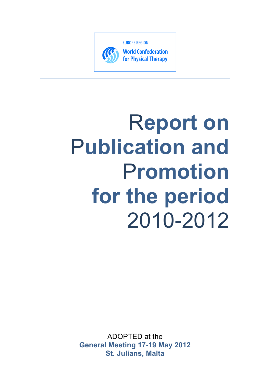

**World Confederation** for Physical Therapy

# R**eport on**  P**ublication and**  P**romotion for the period** 2010-2012

ADOPTED at the **General Meeting 17-19 May 2012 St. Julians, Malta**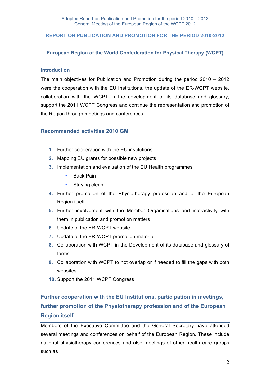#### **REPORT ON PUBLICATION AND PROMOTION FOR THE PERIOD 2010-2012**

## **European Region of the World Confederation for Physical Therapy (WCPT)**

#### **Introduction**

The main objectives for Publication and Promotion during the period 2010 – 2012 were the cooperation with the EU Institutions, the update of the ER-WCPT website, collaboration with the WCPT in the development of its database and glossary, support the 2011 WCPT Congress and continue the representation and promotion of the Region through meetings and conferences.

## **Recommended activities 2010 GM**

- **1.** Further cooperation with the EU institutions
- **2.** Mapping EU grants for possible new projects
- **3.** Implementation and evaluation of the EU Health programmes
	- Back Pain
	- Staying clean
- **4.** Further promotion of the Physiotherapy profession and of the European Region itself
- **5.** Further involvement with the Member Organisations and interactivity with them in publication and promotion matters
- **6.** Update of the ER-WCPT website
- **7.** Update of the ER-WCPT promotion material
- **8.** Collaboration with WCPT in the Development of its database and glossary of terms
- **9.** Collaboration with WCPT to not overlap or if needed to fill the gaps with both websites
- **10.** Support the 2011 WCPT Congress

# **Further cooperation with the EU Institutions, participation in meetings, further promotion of the Physiotherapy profession and of the European Region itself**

Members of the Executive Committee and the General Secretary have attended several meetings and conferences on behalf of the European Region. These include national physiotherapy conferences and also meetings of other health care groups such as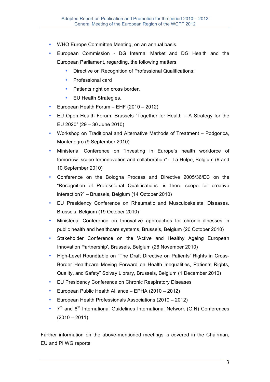- WHO Europe Committee Meeting, on an annual basis.
- European Commission DG Internal Market and DG Health and the European Parliament, regarding, the following matters:
	- Directive on Recognition of Professional Qualifications;
	- Professional card
	- Patients right on cross border.
	- EU Health Strategies.
- European Health Forum EHF (2010 2012)
- EU Open Health Forum, Brussels "Together for Health A Strategy for the EU 2020" (29 – 30 June 2010)
- Workshop on Traditional and Alternative Methods of Treatment Podgorica, Montenegro (9 September 2010)
- Ministerial Conference on "Investing in Europe's health workforce of tomorrow: scope for innovation and collaboration" – La Hulpe, Belgium (9 and 10 September 2010)
- Conference on the Bologna Process and Directive 2005/36/EC on the "Recognition of Professional Qualifications: is there scope for creative interaction?" – Brussels, Belgium (14 October 2010)
- EU Presidency Conference on Rheumatic and Musculoskeletal Diseases. Brussels, Belgium (19 October 2010)
- Ministerial Conference on Innovative approaches for chronic illnesses in public health and healthcare systems, Brussels, Belgium (20 October 2010)
- Stakeholder Conference on the 'Active and Healthy Ageing European Innovation Partnership', Brussels, Belgium (26 November 2010)
- High-Level Roundtable on "The Draft Directive on Patients' Rights in Cross-Border Healthcare Moving Forward on Health Inequalities, Patients Rights, Quality, and Safety" Solvay Library, Brussels, Belgium (1 December 2010)
- EU Presidency Conference on Chronic Respiratory Diseases
- European Public Health Alliance EPHA (2010 2012)
- European Health Professionals Associations (2010 2012)
- $7<sup>th</sup>$  and  $8<sup>th</sup>$  International Guidelines International Network (GIN) Conferences  $(2010 - 2011)$

Further information on the above-mentioned meetings is covered in the Chairman, EU and PI WG reports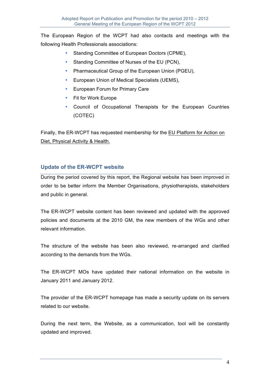The European Region of the WCPT had also contacts and meetings with the following Health Professionals associations:

- Standing Committee of European Doctors (CPME).
- Standing Committee of Nurses of the EU (PCN),
- Pharmaceutical Group of the European Union (PGEU),
- European Union of Medical Specialists (UEMS),
- European Forum for Primary Care
- Fit for Work Europe
- Council of Occupational Therapists for the European Countries (COTEC)

Finally, the ER-WCPT has requested membership for the EU Platform for Action on Diet, Physical Activity & Health.

# **Update of the ER-WCPT website**

During the period covered by this report, the Regional website has been improved in order to be better inform the Member Organisations, physiotherapists, stakeholders and public in general.

The ER-WCPT website content has been reviewed and updated with the approved policies and documents at the 2010 GM, the new members of the WGs and other relevant information.

The structure of the website has been also reviewed, re-arranged and clarified according to the demands from the WGs.

The ER-WCPT MOs have updated their national information on the website in January 2011 and January 2012.

The provider of the ER-WCPT homepage has made a security update on its servers related to our website.

During the next term, the Website, as a communication, tool will be constantly updated and improved.